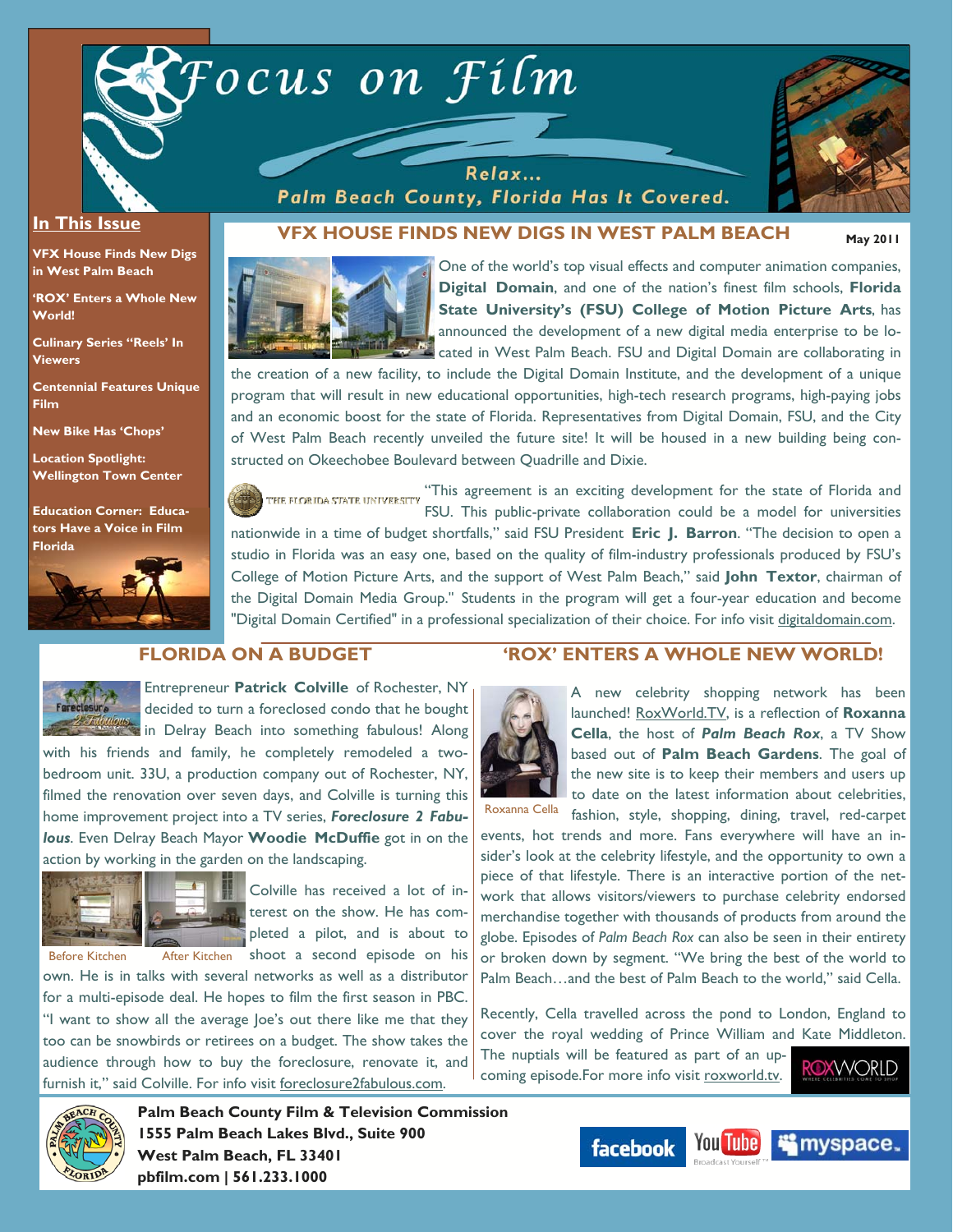

Relax... Palm Beach County, Florida Has It Covered.



**May 2011** 

### **In This Issue**

**VFX House Finds New Digs in West Palm Beach** 

**'ROX' Enters a Whole New World!** 

**Culinary Series "Reels' In Viewers** 

**Centennial Features Unique Film** 

**New Bike Has 'Chops'** 

**Location Spotlight: Wellington Town Center** 

**Education Corner: Educators Have a Voice in Film Florida**



## **VFX HOUSE FINDS NEW DIGS IN WEST PALM BEACH**



One of the world's top visual effects and computer animation companies, **Digital Domain**, and one of the nation's finest film schools, **Florida State University's (FSU) College of Motion Picture Arts**, has announced the development of a new digital media enterprise to be located in West Palm Beach. FSU and Digital Domain are collaborating in

the creation of a new facility, to include the Digital Domain Institute, and the development of a unique program that will result in new educational opportunities, high-tech research programs, high-paying jobs and an economic boost for the state of Florida. Representatives from Digital Domain, FSU, and the City of West Palm Beach recently unveiled the future site! It will be housed in a new building being constructed on Okeechobee Boulevard between Quadrille and Dixie.

"This agreement is an exciting development for the state of Florida and THE FLORIDA STATE UNIVERSITY FSU. This public-private collaboration could be a model for universities

nationwide in a time of budget shortfalls," said FSU President **Eric J. Barron**. "The decision to open a studio in Florida was an easy one, based on the quality of film-industry professionals produced by FSU's College of Motion Picture Arts, and the support of West Palm Beach," said **John Textor**, chairman of the Digital Domain Media Group." Students in the program will get a four-year education and become "Digital Domain Certified" in a professional specialization of their choice. For info visit digitaldomain.com.

## **FLORIDA ON A BUDGET**



Entrepreneur **Patrick Colville** of Rochester, NY decided to turn a foreclosed condo that he bought **in Delray Beach into something fabulous! Along** 

with his friends and family, he completely remodeled a twobedroom unit. 33U, a production company out of Rochester, NY, filmed the renovation over seven days, and Colville is turning this home improvement project into a TV series, *Foreclosure 2 Fabulous*. Even Delray Beach Mayor **Woodie McDuffie** got in on the action by working in the garden on the landscaping.



Colville has received a lot of interest on the show. He has completed a pilot, and is about to shoot a second episode on his

own. He is in talks with several networks as well as a distributor for a multi-episode deal. He hopes to film the first season in PBC. "I want to show all the average Joe's out there like me that they too can be snowbirds or retirees on a budget. The show takes the audience through how to buy the foreclosure, renovate it, and furnish it," said Colville. For info visit foreclosure2fabulous.com.

## **'ROX' ENTERS A WHOLE NEW WORLD!**



Roxanna Cella

A new celebrity shopping network has been launched! RoxWorld.TV, is a reflection of **Roxanna Cella**, the host of *Palm Beach Rox*, a TV Show based out of **Palm Beach Gardens**. The goal of the new site is to keep their members and users up to date on the latest information about celebrities, fashion, style, shopping, dining, travel, red-carpet

events, hot trends and more. Fans everywhere will have an insider's look at the celebrity lifestyle, and the opportunity to own a piece of that lifestyle. There is an interactive portion of the network that allows visitors/viewers to purchase celebrity endorsed merchandise together with thousands of products from around the globe. Episodes of *Palm Beach Rox* can also be seen in their entirety or broken down by segment. "We bring the best of the world to Palm Beach…and the best of Palm Beach to the world," said Cella.

Recently, Cella travelled across the pond to London, England to cover the royal wedding of Prince William and Kate Middleton.

The nuptials will be featured as part of an upcoming episode.For more info visit roxworld.tv.





**Palm Beach County Film & Television Commission 1555 Palm Beach Lakes Blvd., Suite 900 West Palm Beach, FL 33401 pbfilm.com | 561.233.1000** 

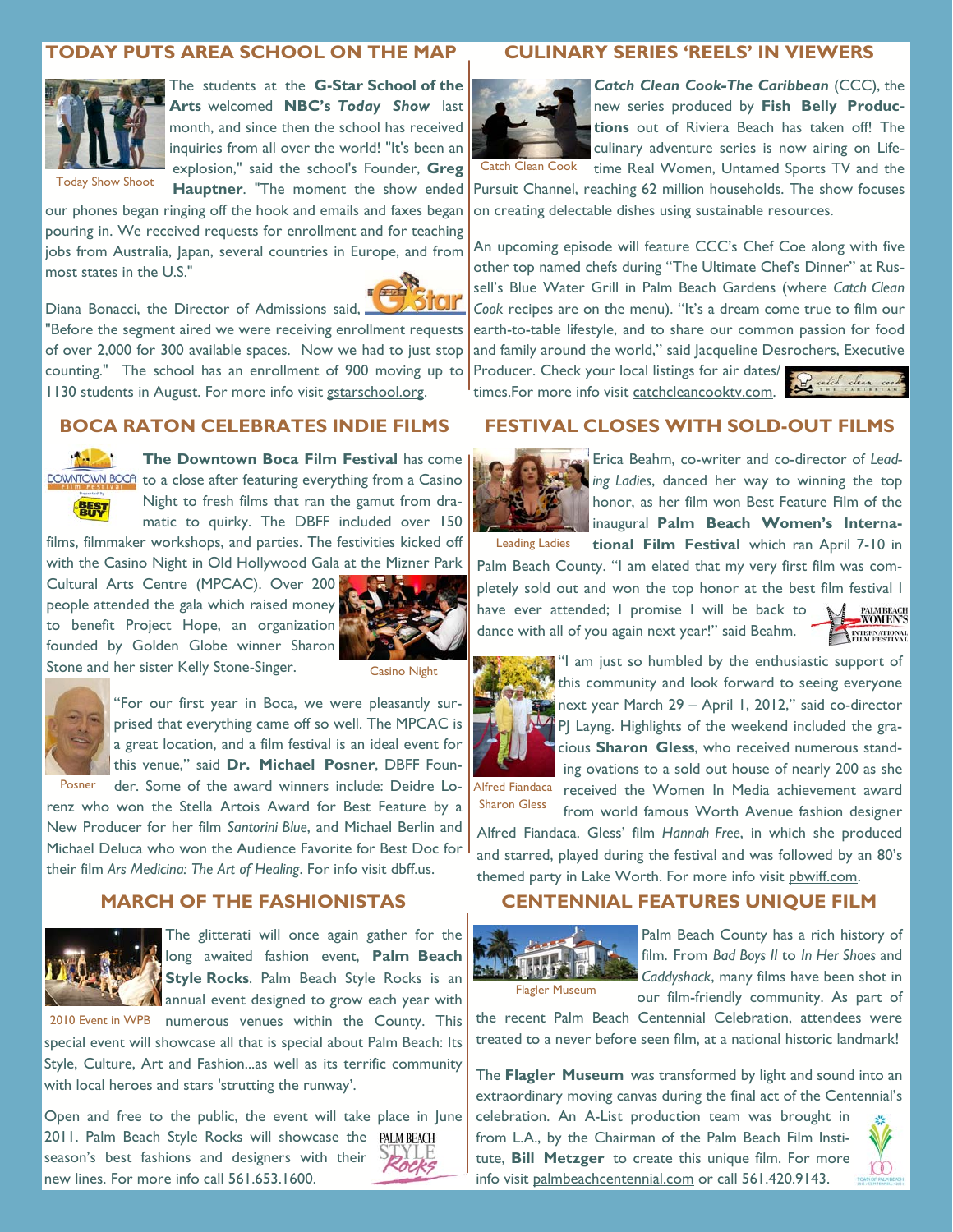# **TODAY PUTS AREA SCHOOL ON THE MAP**



The students at the **G-Star School of the Arts** welcomed **NBC's** *Today Show* last month, and since then the school has received inquiries from all over the world! "It's been an explosion," said the school's Founder, **Greg Hauptner**. "The moment the show ended

our phones began ringing off the hook and emails and faxes began pouring in. We received requests for enrollment and for teaching jobs from Australia, Japan, several countries in Europe, and from most states in the U.S."



Diana Bonacci, the Director of Admissions said, "Before the segment aired we were receiving enrollment requests of over 2,000 for 300 available spaces. Now we had to just stop counting." The school has an enrollment of 900 moving up to 1130 students in August. For more info visit gstarschool.org.

### **BOCA RATON CELEBRATES INDIE FILMS**



體制

**The Downtown Boca Film Festival** has come DOWNTOWN BOCH to a close after featuring everything from a Casino Night to fresh films that ran the gamut from dramatic to quirky. The DBFF included over 150

films, filmmaker workshops, and parties. The festivities kicked off with the Casino Night in Old Hollywood Gala at the Mizner Park

Cultural Arts Centre (MPCAC). Over 200 people attended the gala which raised money to benefit Project Hope, an organization founded by Golden Globe winner Sharon Stone and her sister Kelly Stone-Singer.



Casino Night



"For our first year in Boca, we were pleasantly surprised that everything came off so well. The MPCAC is a great location, and a film festival is an ideal event for this venue," said **Dr. Michael Posner**, DBFF Foun-

der. Some of the award winners include: Deidre Lorenz who won the Stella Artois Award for Best Feature by a New Producer for her film *Santorini Blue*, and Michael Berlin and Michael Deluca who won the Audience Favorite for Best Doc for Posner

their film *Ars Medicina: The Art of Healing*. For info visit dbff.us. **MARCH OF THE FASHIONISTAS** 

The glitterati will once again gather for the long awaited fashion event, **Palm Beach Style Rocks**. Palm Beach Style Rocks is an annual event designed to grow each year with

2010 Event in WPB numerous venues within the County. This special event will showcase all that is special about Palm Beach: Its Style, Culture, Art and Fashion...as well as its terrific community with local heroes and stars 'strutting the runway'.

Open and free to the public, the event will take place in June 2011. Palm Beach Style Rocks will showcase the PALMBEACH season's best fashions and designers with their new lines. For more info call 561.653.1600.



## **CULINARY SERIES 'REELS' IN VIEWERS**



**Catch Clean Cook-The Caribbean** (CCC), the new series produced by **Fish Belly Productions** out of Riviera Beach has taken off! The culinary adventure series is now airing on Life-Catch Clean Cook time Real Women, Untamed Sports TV and the

Pursuit Channel, reaching 62 million households. The show focuses on creating delectable dishes using sustainable resources.

An upcoming episode will feature CCC's Chef Coe along with five other top named chefs during "The Ultimate Chef's Dinner" at Russell's Blue Water Grill in Palm Beach Gardens (where *Catch Clean Cook* recipes are on the menu). "It's a dream come true to film our earth-to-table lifestyle, and to share our common passion for food and family around the world," said Jacqueline Desrochers, Executive

**FESTIVAL CLOSES WITH SOLD-OUT FILMS** 

Producer. Check your local listings for air dates/ times.For more info visit catchcleancooktv.com.



Leading Ladies

Erica Beahm, co-writer and co-director of *Leading Ladies*, danced her way to winning the top honor, as her film won Best Feature Film of the inaugural **Palm Beach Women's International Film Festival** which ran April 7-10 in

Palm Beach County. "I am elated that my very first film was completely sold out and won the top honor at the best film festival I have ever attended; I promise I will be back to PALM BEACH<br>WOMEN'S dance with all of you again next year!" said Beahm. ENTERNATIONAL



"I am just so humbled by the enthusiastic support of this community and look forward to seeing everyone next year March 29 – April 1, 2012," said co-director PJ Layng. Highlights of the weekend included the gracious **Sharon Gless**, who received numerous standing ovations to a sold out house of nearly 200 as she

received the Women In Media achievement award from world famous Worth Avenue fashion designer Alfred Fiandaca Sharon Gless

Alfred Fiandaca. Gless' film *Hannah Free*, in which she produced and starred, played during the festival and was followed by an 80's themed party in Lake Worth. For more info visit pbwiff.com.

### **CENTENNIAL FEATURES UNIQUE FILM**



Palm Beach County has a rich history of film. From *Bad Boys II* to *In Her Shoes* and *Caddyshack*, many films have been shot in our film-friendly community. As part of

the recent Palm Beach Centennial Celebration, attendees were treated to a never before seen film, at a national historic landmark!

The **Flagler Museum** was transformed by light and sound into an extraordinary moving canvas during the final act of the Centennial's

celebration. An A-List production team was brought in from L.A., by the Chairman of the Palm Beach Film Institute, **Bill Metzger** to create this unique film. For more info visit palmbeachcentennial.com or call 561.420.9143.

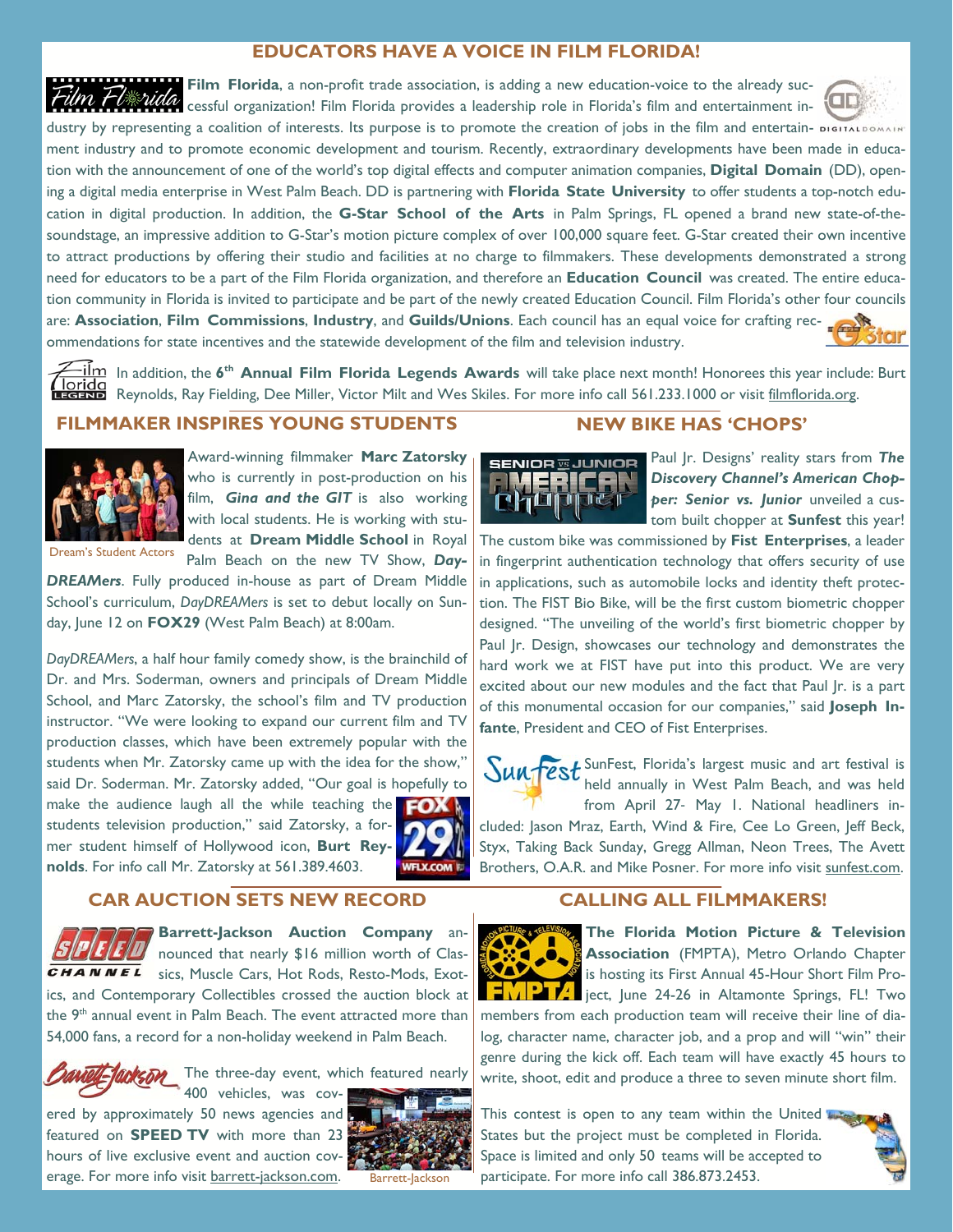# **EDUCATORS HAVE A VOICE IN FILM FLORIDA!**

Film Florida, a non-profit trade association, is adding a new education-voice to the already suc-Film Flwida cessful organization! Film Florida provides a leadership role in Florida's film and entertainment in-

dustry by representing a coalition of interests. Its purpose is to promote the creation of jobs in the film and entertain- DiGITALDOA ment industry and to promote economic development and tourism. Recently, extraordinary developments have been made in education with the announcement of one of the world's top digital effects and computer animation companies, **Digital Domain** (DD), opening a digital media enterprise in West Palm Beach. DD is partnering with **Florida State University** to offer students a top-notch education in digital production. In addition, the **G-Star School of the Arts** in Palm Springs, FL opened a brand new state-of-thesoundstage, an impressive addition to G-Star's motion picture complex of over 100,000 square feet. G-Star created their own incentive to attract productions by offering their studio and facilities at no charge to filmmakers. These developments demonstrated a strong need for educators to be a part of the Film Florida organization, and therefore an **Education Council** was created. The entire education community in Florida is invited to participate and be part of the newly created Education Council. Film Florida's other four councils are: **Association**, **Film Commissions**, **Industry**, and **Guilds/Unions**. Each council has an equal voice for crafting recommendations for state incentives and the statewide development of the film and television industry.

In addition, the **6th Annual Film Florida Legends Awards** will take place next month! Honorees this year include: Burt The Indian of Time in addition, the **o** Annuar Filip Froma Legends Arrange films and the parts of the Skiles. For more info call 561.233.1000 or visit filmflorida.org.<br>**Exclusive** Reynolds, Ray Fielding, Dee Miller, Victor

## **FILMMAKER INSPIRES YOUNG STUDENTS**



Award-winning filmmaker **Marc Zatorsky**  who is currently in post-production on his film, *Gina and the GIT* is also working with local students. He is working with students at **Dream Middle School** in Royal Palm Beach on the new TV Show, *Day-*

Dream's Student Actors

*DREAMers*. Fully produced in-house as part of Dream Middle School's curriculum, *DayDREAMers* is set to debut locally on Sunday, June 12 on **FOX29** (West Palm Beach) at 8:00am.

*DayDREAMers*, a half hour family comedy show, is the brainchild of Dr. and Mrs. Soderman, owners and principals of Dream Middle School, and Marc Zatorsky, the school's film and TV production instructor. "We were looking to expand our current film and TV production classes, which have been extremely popular with the students when Mr. Zatorsky came up with the idea for the show," said Dr. Soderman. Mr. Zatorsky added, "Our goal is hopefully to make the audience laugh all the while teaching the  $\Box$ students television production," said Zatorsky, a former student himself of Hollywood icon, **Burt Reynolds**. For info call Mr. Zatorsky at 561.389.4603. **WFLX.COM E** 

### **CAR AUCTION SETS NEW RECORD**



**Barrett-Jackson Auction Company** announced that nearly \$16 million worth of Clas-

CHANNEL sics, Muscle Cars, Hot Rods, Resto-Mods, Exotics, and Contemporary Collectibles crossed the auction block at the 9<sup>th</sup> annual event in Palm Beach. The event attracted more than 54,000 fans, a record for a non-holiday weekend in Palm Beach.



The three-day event, which featured nearly 400 vehicles, was cov-

ered by approximately 50 news agencies and featured on **SPEED TV** with more than 23 hours of live exclusive event and auction coverage. For more info visit barrett-jackson.com.



Barrett-Jackson

## **NEW BIKE HAS 'CHOPS'**



Paul Jr. Designs' reality stars from *The Discovery Channel's American Chopper: Senior vs. Junior* unveiled a custom built chopper at **Sunfest** this year!

The custom bike was commissioned by **Fist Enterprises**, a leader in fingerprint authentication technology that offers security of use in applications, such as automobile locks and identity theft protection. The FIST Bio Bike, will be the first custom biometric chopper designed. "The unveiling of the world's first biometric chopper by Paul Jr. Design, showcases our technology and demonstrates the hard work we at FIST have put into this product. We are very excited about our new modules and the fact that Paul Jr. is a part of this monumental occasion for our companies," said **Joseph Infante**, President and CEO of Fist Enterprises.

Sunfest, Florida's largest music and art festival is held annually in West Palm Beach, and was held from April 27‐ May 1. National headliners included: Jason Mraz, Earth, Wind & Fire, Cee Lo Green, Jeff Beck, Styx, Taking Back Sunday, Gregg Allman, Neon Trees, The Avett Brothers, O.A.R. and Mike Posner. For more info visit sunfest.com.

### **CALLING ALL FILMMAKERS!**



**The Florida Motion Picture & Television Association** (FMPTA), Metro Orlando Chapter is hosting its First Annual 45-Hour Short Film Proil ject, June 24-26 in Altamonte Springs, FL! Two

members from each production team will receive their line of dialog, character name, character job, and a prop and will "win" their genre during the kick off. Each team will have exactly 45 hours to write, shoot, edit and produce a three to seven minute short film.

This contest is open to any team within the United States but the project must be completed in Florida. Space is limited and only 50 teams will be accepted to participate. For more info call 386.873.2453.